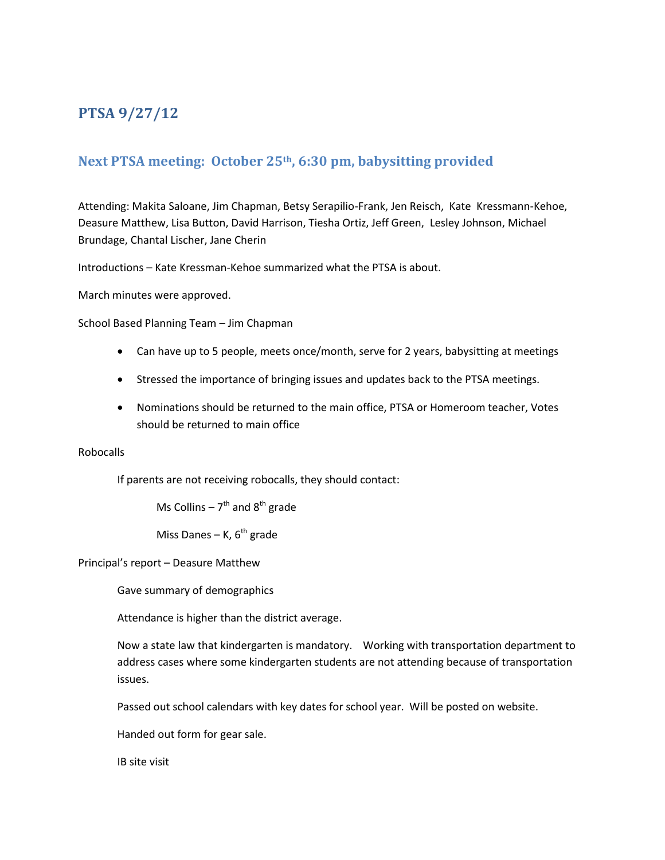# **PTSA 9/27/12**

# **Next PTSA meeting: October 25th, 6:30 pm, babysitting provided**

Attending: Makita Saloane, Jim Chapman, Betsy Serapilio-Frank, Jen Reisch, Kate Kressmann-Kehoe, Deasure Matthew, Lisa Button, David Harrison, Tiesha Ortiz, Jeff Green, Lesley Johnson, Michael Brundage, Chantal Lischer, Jane Cherin

Introductions – Kate Kressman-Kehoe summarized what the PTSA is about.

March minutes were approved.

School Based Planning Team – Jim Chapman

- Can have up to 5 people, meets once/month, serve for 2 years, babysitting at meetings
- Stressed the importance of bringing issues and updates back to the PTSA meetings.
- Nominations should be returned to the main office, PTSA or Homeroom teacher, Votes should be returned to main office

# Robocalls

If parents are not receiving robocalls, they should contact:

Ms Collins  $-7^{\text{th}}$  and  $8^{\text{th}}$  grade

Miss Danes – K,  $6<sup>th</sup>$  grade

Principal's report – Deasure Matthew

Gave summary of demographics

Attendance is higher than the district average.

Now a state law that kindergarten is mandatory. Working with transportation department to address cases where some kindergarten students are not attending because of transportation issues.

Passed out school calendars with key dates for school year. Will be posted on website.

Handed out form for gear sale.

IB site visit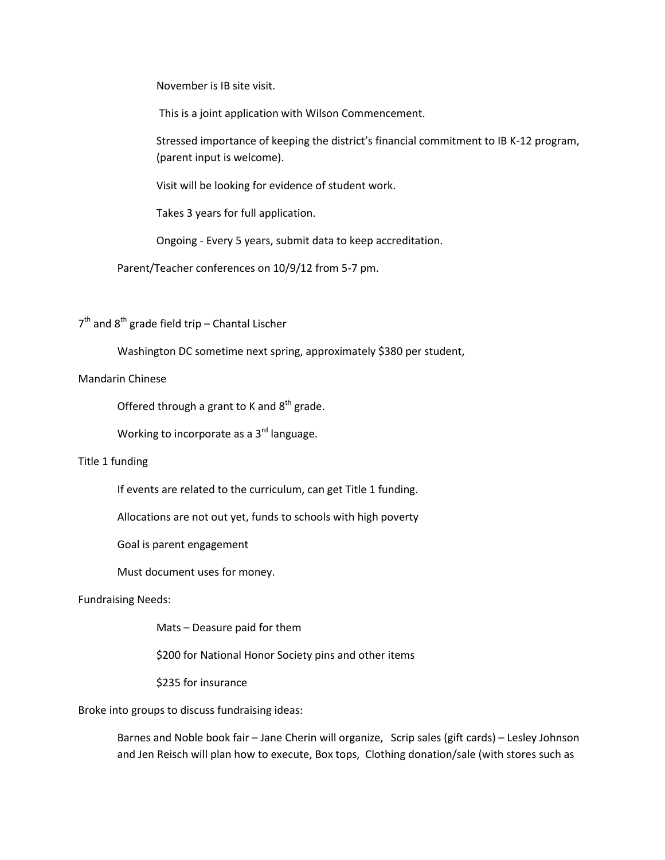November is IB site visit.

This is a joint application with Wilson Commencement.

Stressed importance of keeping the district's financial commitment to IB K-12 program, (parent input is welcome).

Visit will be looking for evidence of student work.

Takes 3 years for full application.

Ongoing - Every 5 years, submit data to keep accreditation.

Parent/Teacher conferences on 10/9/12 from 5-7 pm.

 $7<sup>th</sup>$  and  $8<sup>th</sup>$  grade field trip – Chantal Lischer

Washington DC sometime next spring, approximately \$380 per student,

#### Mandarin Chinese

Offered through a grant to K and  $8<sup>th</sup>$  grade.

Working to incorporate as a 3<sup>rd</sup> language.

# Title 1 funding

If events are related to the curriculum, can get Title 1 funding.

Allocations are not out yet, funds to schools with high poverty

Goal is parent engagement

Must document uses for money.

# Fundraising Needs:

Mats – Deasure paid for them

\$200 for National Honor Society pins and other items

\$235 for insurance

Broke into groups to discuss fundraising ideas:

Barnes and Noble book fair – Jane Cherin will organize, Scrip sales (gift cards) – Lesley Johnson and Jen Reisch will plan how to execute, Box tops, Clothing donation/sale (with stores such as